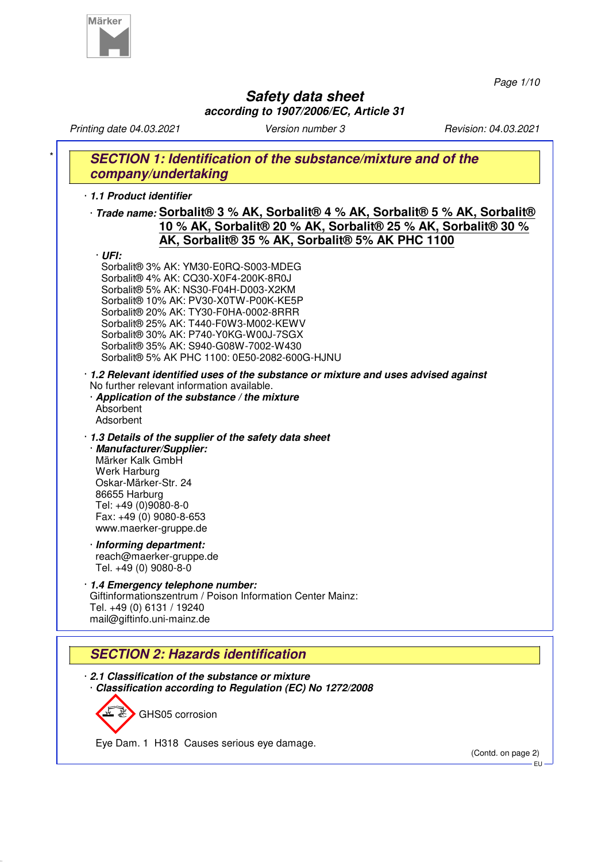

*Page 1/10*

# **Safety data sheet according to 1907/2006/EC, Article 31**

*Printing date 04.03.2021 Version number 3 Revision: 04.03.2021* **SECTION 1: Identification of the substance/mixture and of the company/undertaking** · **1.1 Product identifier** · **Trade name: Sorbalit® 3 % AK, Sorbalit® 4 % AK, Sorbalit® 5 % AK, Sorbalit® 10 % AK, Sorbalit® 20 % AK, Sorbalit® 25 % AK, Sorbalit® 30 % AK, Sorbalit® 35 % AK, Sorbalit® 5% AK PHC 1100** · **UFI:** Sorbalit® 3% AK: YM30-E0RQ-S003-MDEG Sorbalit® 4% AK: CQ30-X0F4-200K-8R0J Sorbalit® 5% AK: NS30-F04H-D003-X2KM Sorbalit® 10% AK: PV30-X0TW-P00K-KE5P Sorbalit® 20% AK: TY30-F0HA-0002-8RRR Sorbalit® 25% AK: T440-F0W3-M002-KEWV Sorbalit® 30% AK: P740-Y0KG-W00J-7SGX Sorbalit® 35% AK: S940-G08W-7002-W430 Sorbalit® 5% AK PHC 1100: 0E50-2082-600G-HJNU · **1.2 Relevant identified uses of the substance or mixture and uses advised against** No further relevant information available. · **Application of the substance / the mixture** Absorbent Adsorbent · **1.3 Details of the supplier of the safety data sheet** · **Manufacturer/Supplier:** Märker Kalk GmbH Werk Harburg Oskar-Märker-Str. 24 86655 Harburg Tel: +49 (0)9080-8-0 Fax: +49 (0) 9080-8-653 www.maerker-gruppe.de · **Informing department:** reach@maerker-gruppe.de Tel. +49 (0) 9080-8-0 · **1.4 Emergency telephone number:** Giftinformationszentrum / Poison Information Center Mainz: Tel. +49 (0) 6131 / 19240 mail@giftinfo.uni-mainz.de **SECTION 2: Hazards identification** · **2.1 Classification of the substance or mixture** · **Classification according to Regulation (EC) No 1272/2008**

GHS05 corrosion

Eye Dam. 1 H318 Causes serious eye damage.

(Contd. on page 2) EU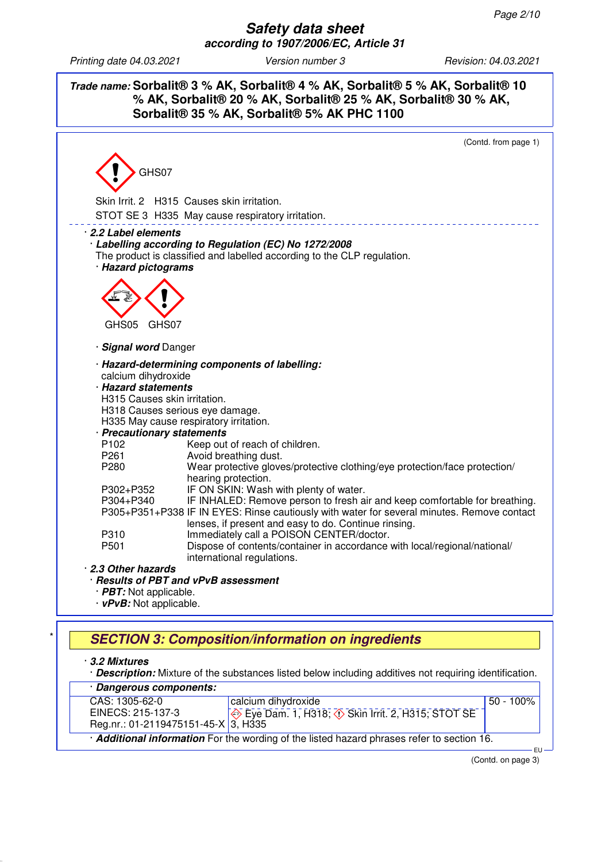**Safety data sheet according to 1907/2006/EC, Article 31**

*Printing date 04.03.2021 Version number 3 Revision: 04.03.2021*

**Trade name: Sorbalit® 3 % AK, Sorbalit® 4 % AK, Sorbalit® 5 % AK, Sorbalit® 10 % AK, Sorbalit® 20 % AK, Sorbalit® 25 % AK, Sorbalit® 30 % AK, Sorbalit® 35 % AK, Sorbalit® 5% AK PHC 1100**



# \* **SECTION 3: Composition/information on ingredients**

· **3.2 Mixtures**

· **Description:** Mixture of the substances listed below including additives not requiring identification.

| · Dangerous components:                           |                                                                                                          |              |  |
|---------------------------------------------------|----------------------------------------------------------------------------------------------------------|--------------|--|
| CAS: 1305-62-0                                    | calcium dihydroxide                                                                                      | $50 - 100\%$ |  |
| EINECS: 215-137-3                                 | $\overline{\Leftrightarrow}$ Eye Dam. 1, H318; $\overline{\Leftrightarrow}$ Skin Irrit. 2, H315; STOT SE |              |  |
| Reg.nr.: 01-2119475151-45-X $\overline{3}$ , H335 |                                                                                                          |              |  |
|                                                   | Additional information For the wording of the listed hazard phrases refer to section 16.                 |              |  |
|                                                   |                                                                                                          | FH-          |  |

(Contd. on page 3)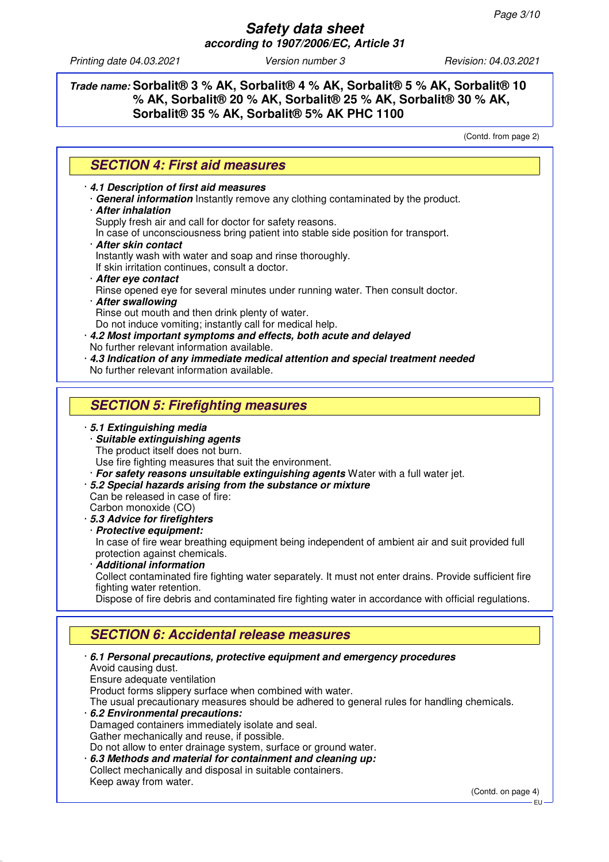**Trade name: Sorbalit® 3 % AK, Sorbalit® 4 % AK, Sorbalit® 5 % AK, Sorbalit® 10 % AK, Sorbalit® 20 % AK, Sorbalit® 25 % AK, Sorbalit® 30 % AK, Sorbalit® 35 % AK, Sorbalit® 5% AK PHC 1100**

(Contd. from page 2)

#### **SECTION 4: First aid measures**

· **4.1 Description of first aid measures**

· **General information** Instantly remove any clothing contaminated by the product. · **After inhalation**

Supply fresh air and call for doctor for safety reasons.

In case of unconsciousness bring patient into stable side position for transport.

· **After skin contact**

Instantly wash with water and soap and rinse thoroughly.

If skin irritation continues, consult a doctor.

- · **After eye contact**
- Rinse opened eye for several minutes under running water. Then consult doctor.
- · **After swallowing** Rinse out mouth and then drink plenty of water.

Do not induce vomiting; instantly call for medical help.

- · **4.2 Most important symptoms and effects, both acute and delayed** No further relevant information available.
- · **4.3 Indication of any immediate medical attention and special treatment needed** No further relevant information available.

### **SECTION 5: Firefighting measures**

#### · **5.1 Extinguishing media**

· **Suitable extinguishing agents**

The product itself does not burn.

Use fire fighting measures that suit the environment.

- · **For safety reasons unsuitable extinguishing agents** Water with a full water jet.
- · **5.2 Special hazards arising from the substance or mixture**
- Can be released in case of fire: Carbon monoxide (CO)
- · **5.3 Advice for firefighters**
- · **Protective equipment:**

In case of fire wear breathing equipment being independent of ambient air and suit provided full protection against chemicals.

· **Additional information**

Collect contaminated fire fighting water separately. It must not enter drains. Provide sufficient fire fighting water retention.

Dispose of fire debris and contaminated fire fighting water in accordance with official regulations.

## **SECTION 6: Accidental release measures**

· **6.1 Personal precautions, protective equipment and emergency procedures** Avoid causing dust. Ensure adequate ventilation Product forms slippery surface when combined with water. The usual precautionary measures should be adhered to general rules for handling chemicals. · **6.2 Environmental precautions:** Damaged containers immediately isolate and seal. Gather mechanically and reuse, if possible. Do not allow to enter drainage system, surface or ground water. · **6.3 Methods and material for containment and cleaning up:** Collect mechanically and disposal in suitable containers. Keep away from water.

(Contd. on page 4)

EU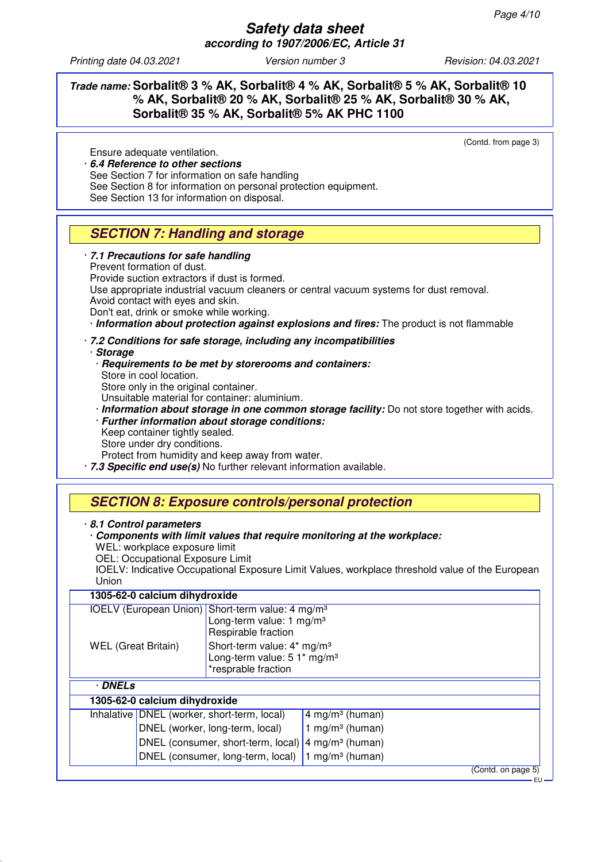### **Trade name: Sorbalit® 3 % AK, Sorbalit® 4 % AK, Sorbalit® 5 % AK, Sorbalit® 10 % AK, Sorbalit® 20 % AK, Sorbalit® 25 % AK, Sorbalit® 30 % AK, Sorbalit® 35 % AK, Sorbalit® 5% AK PHC 1100**

(Contd. from page 3)

Ensure adequate ventilation. · **6.4 Reference to other sections** See Section 7 for information on safe handling See Section 8 for information on personal protection equipment. See Section 13 for information on disposal.

# **SECTION 7: Handling and storage**

#### · **7.1 Precautions for safe handling**

Prevent formation of dust.

Provide suction extractors if dust is formed.

Use appropriate industrial vacuum cleaners or central vacuum systems for dust removal. Avoid contact with eyes and skin.

Don't eat, drink or smoke while working.

· **Information about protection against explosions and fires:** The product is not flammable

#### · **7.2 Conditions for safe storage, including any incompatibilities**

· **Storage**

- · **Requirements to be met by storerooms and containers:** Store in cool location. Store only in the original container. Unsuitable material for container: aluminium. · **Information about storage in one common storage facility:** Do not store together with acids. · **Further information about storage conditions:**
- Keep container tightly sealed. Store under dry conditions. Protect from humidity and keep away from water.
- · **7.3 Specific end use(s)** No further relevant information available.

## **SECTION 8: Exposure controls/personal protection**

#### · **8.1 Control parameters**

#### · **Components with limit values that require monitoring at the workplace:**

WEL: workplace exposure limit

OEL: Occupational Exposure Limit

IOELV: Indicative Occupational Exposure Limit Values, workplace threshold value of the European Union

| 1305-62-0 calcium dihydroxide                                |                                                                                                          |                             |                    |
|--------------------------------------------------------------|----------------------------------------------------------------------------------------------------------|-----------------------------|--------------------|
| IOELV (European Union) Short-term value: 4 mg/m <sup>3</sup> |                                                                                                          |                             |                    |
|                                                              | Long-term value: 1 mg/m <sup>3</sup><br>Respirable fraction                                              |                             |                    |
| <b>WEL</b> (Great Britain)                                   | Short-term value: 4* mg/m <sup>3</sup><br>Long-term value: 5 1* mg/m <sup>3</sup><br>*resprable fraction |                             |                    |
| <b>DNELs</b>                                                 |                                                                                                          |                             |                    |
| 1305-62-0 calcium dihydroxide                                |                                                                                                          |                             |                    |
| Inhalative   DNEL (worker, short-term, local)                |                                                                                                          | 4 mg/m <sup>3</sup> (human) |                    |
|                                                              | DNEL (worker, long-term, local)                                                                          | 1 mg/m <sup>3</sup> (human) |                    |
|                                                              | DNEL (consumer, short-term, local) $ 4 \text{ mg/m}^3$ (human)                                           |                             |                    |
|                                                              | DNEL (consumer, long-term, local)                                                                        | 1 mg/m <sup>3</sup> (human) |                    |
|                                                              |                                                                                                          |                             | (Contd. on page 5) |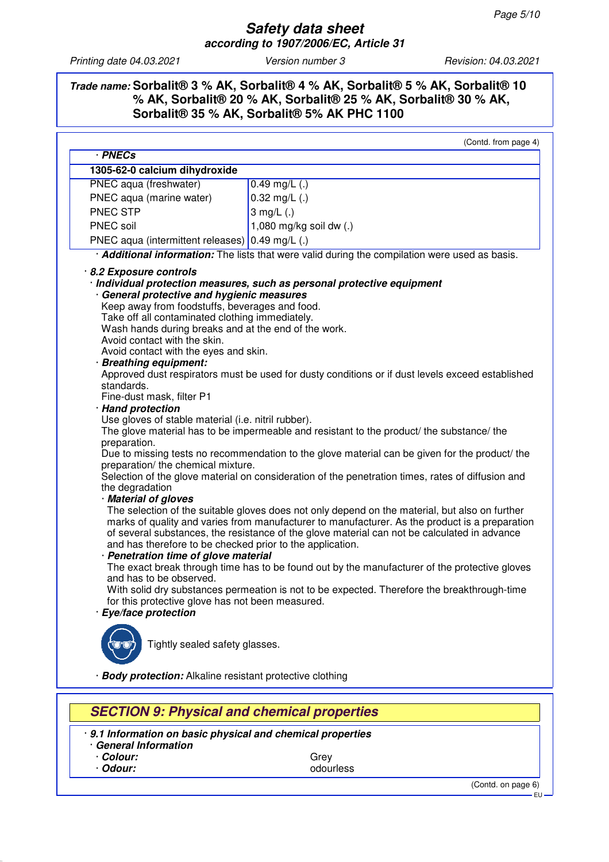## **Trade name: Sorbalit® 3 % AK, Sorbalit® 4 % AK, Sorbalit® 5 % AK, Sorbalit® 10 % AK, Sorbalit® 20 % AK, Sorbalit® 25 % AK, Sorbalit® 30 % AK, Sorbalit® 35 % AK, Sorbalit® 5% AK PHC 1100**

| · PNECs<br>1305-62-0 calcium dihydroxide<br>PNEC aqua (freshwater)<br>PNEC aqua (marine water)<br><b>PNEC STP</b><br>PNEC soil<br>PNEC aqua (intermittent releases) 0.49 mg/L (.)<br>8.2 Exposure controls<br>· Individual protection measures, such as personal protective equipment<br>General protective and hygienic measures<br>Keep away from foodstuffs, beverages and food.<br>Take off all contaminated clothing immediately.<br>Wash hands during breaks and at the end of the work.                                     | $0.49$ mg/L $(.)$<br>$0.32$ mg/L $(.)$<br>3 mg/ $L(.)$<br>1,080 mg/kg soil dw (.)<br>· Additional information: The lists that were valid during the compilation were used as basis.                                                                                                                                                                                                                                                                                                                                                                                                                                                                                                                                                                                                                                                                                                                      |
|------------------------------------------------------------------------------------------------------------------------------------------------------------------------------------------------------------------------------------------------------------------------------------------------------------------------------------------------------------------------------------------------------------------------------------------------------------------------------------------------------------------------------------|----------------------------------------------------------------------------------------------------------------------------------------------------------------------------------------------------------------------------------------------------------------------------------------------------------------------------------------------------------------------------------------------------------------------------------------------------------------------------------------------------------------------------------------------------------------------------------------------------------------------------------------------------------------------------------------------------------------------------------------------------------------------------------------------------------------------------------------------------------------------------------------------------------|
|                                                                                                                                                                                                                                                                                                                                                                                                                                                                                                                                    |                                                                                                                                                                                                                                                                                                                                                                                                                                                                                                                                                                                                                                                                                                                                                                                                                                                                                                          |
|                                                                                                                                                                                                                                                                                                                                                                                                                                                                                                                                    |                                                                                                                                                                                                                                                                                                                                                                                                                                                                                                                                                                                                                                                                                                                                                                                                                                                                                                          |
|                                                                                                                                                                                                                                                                                                                                                                                                                                                                                                                                    |                                                                                                                                                                                                                                                                                                                                                                                                                                                                                                                                                                                                                                                                                                                                                                                                                                                                                                          |
|                                                                                                                                                                                                                                                                                                                                                                                                                                                                                                                                    |                                                                                                                                                                                                                                                                                                                                                                                                                                                                                                                                                                                                                                                                                                                                                                                                                                                                                                          |
|                                                                                                                                                                                                                                                                                                                                                                                                                                                                                                                                    |                                                                                                                                                                                                                                                                                                                                                                                                                                                                                                                                                                                                                                                                                                                                                                                                                                                                                                          |
|                                                                                                                                                                                                                                                                                                                                                                                                                                                                                                                                    |                                                                                                                                                                                                                                                                                                                                                                                                                                                                                                                                                                                                                                                                                                                                                                                                                                                                                                          |
|                                                                                                                                                                                                                                                                                                                                                                                                                                                                                                                                    |                                                                                                                                                                                                                                                                                                                                                                                                                                                                                                                                                                                                                                                                                                                                                                                                                                                                                                          |
|                                                                                                                                                                                                                                                                                                                                                                                                                                                                                                                                    |                                                                                                                                                                                                                                                                                                                                                                                                                                                                                                                                                                                                                                                                                                                                                                                                                                                                                                          |
| Avoid contact with the skin.<br>Avoid contact with the eyes and skin.<br>· Breathing equipment:<br>standards.<br>Fine-dust mask, filter P1<br>· Hand protection<br>Use gloves of stable material (i.e. nitril rubber).<br>preparation.<br>preparation/ the chemical mixture.<br>the degradation<br>· Material of gloves<br>and has therefore to be checked prior to the application.<br>· Penetration time of glove material<br>and has to be observed.<br>for this protective glove has not been measured.<br>Eye/face protection | Approved dust respirators must be used for dusty conditions or if dust levels exceed established<br>The glove material has to be impermeable and resistant to the product/ the substance/ the<br>Due to missing tests no recommendation to the glove material can be given for the product/ the<br>Selection of the glove material on consideration of the penetration times, rates of diffusion and<br>The selection of the suitable gloves does not only depend on the material, but also on further<br>marks of quality and varies from manufacturer to manufacturer. As the product is a preparation<br>of several substances, the resistance of the glove material can not be calculated in advance<br>The exact break through time has to be found out by the manufacturer of the protective gloves<br>With solid dry substances permeation is not to be expected. Therefore the breakthrough-time |
| Tightly sealed safety glasses.                                                                                                                                                                                                                                                                                                                                                                                                                                                                                                     |                                                                                                                                                                                                                                                                                                                                                                                                                                                                                                                                                                                                                                                                                                                                                                                                                                                                                                          |
| <b>Body protection:</b> Alkaline resistant protective clothing                                                                                                                                                                                                                                                                                                                                                                                                                                                                     |                                                                                                                                                                                                                                                                                                                                                                                                                                                                                                                                                                                                                                                                                                                                                                                                                                                                                                          |

· **9.1 Information on basic physical and chemical properties**

· **General Information** • **Colour:** Grey Grey<br>• **Odour:** Grey Godour Grey Godour Grey Grey Godour Grey Godour Grey Godour Grey Godour Grey Grey Grey Grey Grey

· **Odour:** odourless

(Contd. on page 6)

EU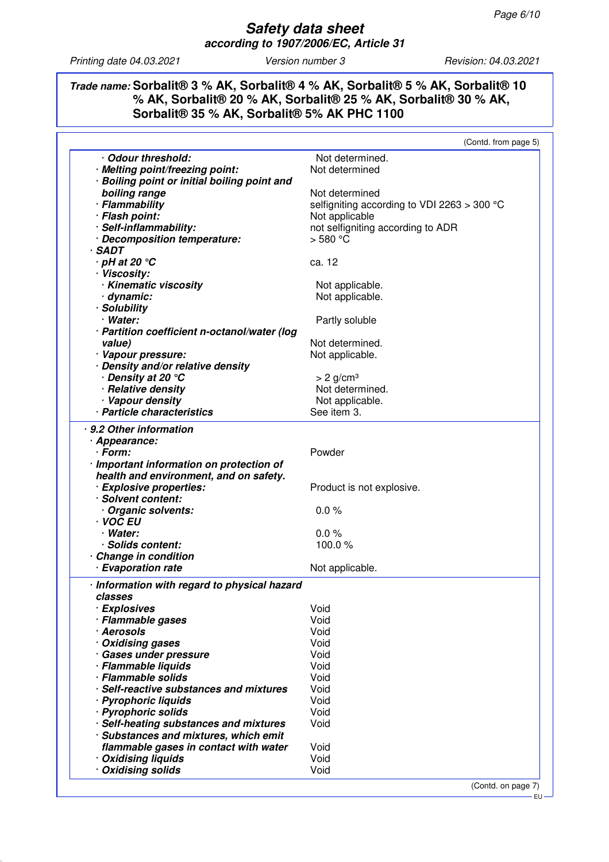### **Trade name: Sorbalit® 3 % AK, Sorbalit® 4 % AK, Sorbalit® 5 % AK, Sorbalit® 10 % AK, Sorbalit® 20 % AK, Sorbalit® 25 % AK, Sorbalit® 30 % AK, Sorbalit® 35 % AK, Sorbalit® 5% AK PHC 1100**

|                                              | (Contd. from page 5)                          |
|----------------------------------------------|-----------------------------------------------|
| Odour threshold:                             | Not determined.                               |
| · Melting point/freezing point:              | Not determined                                |
| · Boiling point or initial boiling point and |                                               |
| boiling range                                | Not determined                                |
| · Flammability                               | selfigniting according to VDI 2263 $>$ 300 °C |
| · Flash point:                               | Not applicable                                |
| · Self-inflammability:                       | not selfigniting according to ADR             |
| · Decomposition temperature:                 | $>580$ °C                                     |
| · SADT                                       |                                               |
| $\cdot$ pH at 20 $\degree$ C                 | ca. 12                                        |
| · Viscosity:                                 |                                               |
| · Kinematic viscosity                        | Not applicable.                               |
| dynamic:                                     | Not applicable.                               |
| · Solubility                                 |                                               |
| · Water:                                     |                                               |
|                                              | Partly soluble                                |
| · Partition coefficient n-octanol/water (log |                                               |
| value)                                       | Not determined.                               |
| · Vapour pressure:                           | Not applicable.                               |
| · Density and/or relative density            |                                               |
| . Density at 20 °C                           | $> 2$ g/cm <sup>3</sup>                       |
| · Relative density                           | Not determined.                               |
| · Vapour density                             | Not applicable.                               |
| · Particle characteristics                   | See item 3.                                   |
| · 9.2 Other information                      |                                               |
| · Appearance:                                |                                               |
| · Form:                                      | Powder                                        |
| · Important information on protection of     |                                               |
| health and environment, and on safety.       |                                               |
| · Explosive properties:                      | Product is not explosive.                     |
| · Solvent content:                           |                                               |
| · Organic solvents:                          | $0.0 \%$                                      |
| · VOC EU                                     |                                               |
| · Water:                                     | 0.0%                                          |
| · Solids content:                            | 100.0%                                        |
| <b>Change in condition</b>                   |                                               |
| · Evaporation rate                           | Not applicable.                               |
|                                              |                                               |
| · Information with regard to physical hazard |                                               |
| classes                                      | Void                                          |
| · Explosives                                 | Void                                          |
| · Flammable gases<br>· Aerosols              | Void                                          |
|                                              |                                               |
| · Oxidising gases                            | Void<br>Void                                  |
| · Gases under pressure                       | Void                                          |
| · Flammable liquids<br>· Flammable solids    | Void                                          |
| · Self-reactive substances and mixtures      | Void                                          |
|                                              | Void                                          |
| · Pyrophoric liquids                         |                                               |
| · Pyrophoric solids                          | Void                                          |
| · Self-heating substances and mixtures       | Void                                          |
| · Substances and mixtures, which emit        |                                               |
| flammable gases in contact with water        | Void                                          |
| · Oxidising liquids                          | Void                                          |
| · Oxidising solids                           | Void                                          |
|                                              | (Contd. on page 7)                            |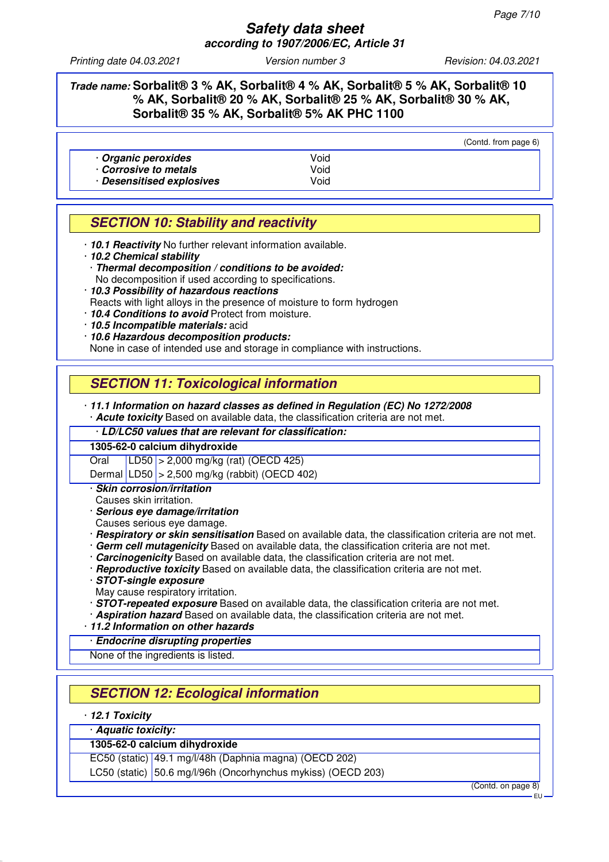### **Trade name: Sorbalit® 3 % AK, Sorbalit® 4 % AK, Sorbalit® 5 % AK, Sorbalit® 10 % AK, Sorbalit® 20 % AK, Sorbalit® 25 % AK, Sorbalit® 30 % AK, Sorbalit® 35 % AK, Sorbalit® 5% AK PHC 1100**

|                                          |              | (Contd. from page 6) |
|------------------------------------------|--------------|----------------------|
| Organic peroxides<br>Corrosive to metals | Void<br>Void |                      |
| · Desensitised explosives                | Void         |                      |

# **SECTION 10: Stability and reactivity**

- · **10.1 Reactivity** No further relevant information available.
- · **10.2 Chemical stability**
- · **Thermal decomposition / conditions to be avoided:** No decomposition if used according to specifications.
- · **10.3 Possibility of hazardous reactions**
- Reacts with light alloys in the presence of moisture to form hydrogen
- · **10.4 Conditions to avoid** Protect from moisture.
- · **10.5 Incompatible materials:** acid
- · **10.6 Hazardous decomposition products:**

None in case of intended use and storage in compliance with instructions.

## **SECTION 11: Toxicological information**

· **11.1 Information on hazard classes as defined in Regulation (EC) No 1272/2008**

· **Acute toxicity** Based on available data, the classification criteria are not met.

· **LD/LC50 values that are relevant for classification:**

#### **1305-62-0 calcium dihydroxide**

Oral LD50 > 2,000 mg/kg (rat) (OECD 425)

Dermal LD50 > 2,500 mg/kg (rabbit) (OECD 402)

- · **Skin corrosion/irritation**
- Causes skin irritation.
- · **Serious eye damage/irritation**
- Causes serious eye damage.
- · **Respiratory or skin sensitisation** Based on available data, the classification criteria are not met.
- · **Germ cell mutagenicity** Based on available data, the classification criteria are not met.
- · **Carcinogenicity** Based on available data, the classification criteria are not met.
- · **Reproductive toxicity** Based on available data, the classification criteria are not met.
- · **STOT-single exposure**
- May cause respiratory irritation.
- · **STOT-repeated exposure** Based on available data, the classification criteria are not met.
- · **Aspiration hazard** Based on available data, the classification criteria are not met.
- · **11.2 Information on other hazards**
- · **Endocrine disrupting properties**
- None of the ingredients is listed.

# **SECTION 12: Ecological information**

#### · **12.1 Toxicity**

#### · **Aquatic toxicity: 1305-62-0 calcium dihydroxide**

EC50 (static) 49.1 mg/l/48h (Daphnia magna) (OECD 202)

LC50 (static) 50.6 mg/l/96h (Oncorhynchus mykiss) (OECD 203)

(Contd. on page 8)

EU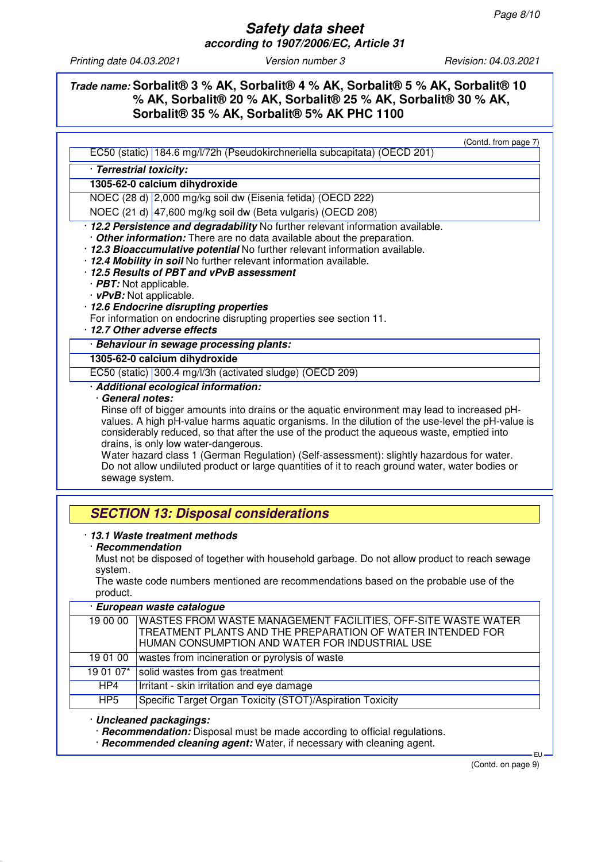(Contd. from page 7)

### **Trade name: Sorbalit® 3 % AK, Sorbalit® 4 % AK, Sorbalit® 5 % AK, Sorbalit® 10 % AK, Sorbalit® 20 % AK, Sorbalit® 25 % AK, Sorbalit® 30 % AK, Sorbalit® 35 % AK, Sorbalit® 5% AK PHC 1100**

| EC50 (static) 184.6 mg/l/72h (Pseudokirchneriella subcapitata) (OECD 201)                                                                                                                                                                                                                                                                                                                                                                                                                                                                     |  |                                                                                                                                                                                                                                                                                                                                                                                                                                                                                                                                                                                                                       |
|-----------------------------------------------------------------------------------------------------------------------------------------------------------------------------------------------------------------------------------------------------------------------------------------------------------------------------------------------------------------------------------------------------------------------------------------------------------------------------------------------------------------------------------------------|--|-----------------------------------------------------------------------------------------------------------------------------------------------------------------------------------------------------------------------------------------------------------------------------------------------------------------------------------------------------------------------------------------------------------------------------------------------------------------------------------------------------------------------------------------------------------------------------------------------------------------------|
| · Terrestrial toxicity:                                                                                                                                                                                                                                                                                                                                                                                                                                                                                                                       |  |                                                                                                                                                                                                                                                                                                                                                                                                                                                                                                                                                                                                                       |
| 1305-62-0 calcium dihydroxide                                                                                                                                                                                                                                                                                                                                                                                                                                                                                                                 |  |                                                                                                                                                                                                                                                                                                                                                                                                                                                                                                                                                                                                                       |
| NOEC (28 d) 2,000 mg/kg soil dw (Eisenia fetida) (OECD 222)                                                                                                                                                                                                                                                                                                                                                                                                                                                                                   |  |                                                                                                                                                                                                                                                                                                                                                                                                                                                                                                                                                                                                                       |
| NOEC (21 d) 47,600 mg/kg soil dw (Beta vulgaris) (OECD 208)                                                                                                                                                                                                                                                                                                                                                                                                                                                                                   |  |                                                                                                                                                                                                                                                                                                                                                                                                                                                                                                                                                                                                                       |
| · 12.2 Persistence and degradability No further relevant information available.<br>. Other information: There are no data available about the preparation.<br>· 12.3 Bioaccumulative potential No further relevant information available.<br>· 12.4 Mobility in soil No further relevant information available.<br>· 12.5 Results of PBT and vPvB assessment<br>$\cdot$ PBT: Not applicable.<br>$\cdot$ vPvB: Not applicable.<br>· 12.6 Endocrine disrupting properties<br>For information on endocrine disrupting properties see section 11. |  |                                                                                                                                                                                                                                                                                                                                                                                                                                                                                                                                                                                                                       |
| 12.7 Other adverse effects                                                                                                                                                                                                                                                                                                                                                                                                                                                                                                                    |  |                                                                                                                                                                                                                                                                                                                                                                                                                                                                                                                                                                                                                       |
| · Behaviour in sewage processing plants:                                                                                                                                                                                                                                                                                                                                                                                                                                                                                                      |  |                                                                                                                                                                                                                                                                                                                                                                                                                                                                                                                                                                                                                       |
| 1305-62-0 calcium dihydroxide<br>EC50 (static) 300.4 mg/l/3h (activated sludge) (OECD 209)                                                                                                                                                                                                                                                                                                                                                                                                                                                    |  |                                                                                                                                                                                                                                                                                                                                                                                                                                                                                                                                                                                                                       |
|                                                                                                                                                                                                                                                                                                                                                                                                                                                                                                                                               |  | · Additional ecological information:<br>· General notes:<br>Rinse off of bigger amounts into drains or the aquatic environment may lead to increased pH-<br>values. A high pH-value harms aquatic organisms. In the dilution of the use-level the pH-value is<br>considerably reduced, so that after the use of the product the aqueous waste, emptied into<br>drains, is only low water-dangerous.<br>Water hazard class 1 (German Regulation) (Self-assessment): slightly hazardous for water.<br>Do not allow undiluted product or large quantities of it to reach ground water, water bodies or<br>sewage system. |
| <b>SECTION 13: Disposal considerations</b>                                                                                                                                                                                                                                                                                                                                                                                                                                                                                                    |  |                                                                                                                                                                                                                                                                                                                                                                                                                                                                                                                                                                                                                       |
| 13.1 Waste treatment methods<br>· Recommendation<br>Must not be disposed of together with household garbage. Do not allow product to reach sewage<br>system.<br>The waste code numbers mentioned are recommendations based on the probable use of the<br>product.                                                                                                                                                                                                                                                                             |  |                                                                                                                                                                                                                                                                                                                                                                                                                                                                                                                                                                                                                       |

| European waste catalogue                                                     |                                                                                                                                                                                      |  |
|------------------------------------------------------------------------------|--------------------------------------------------------------------------------------------------------------------------------------------------------------------------------------|--|
| 19 00 00                                                                     | <b>WASTES FROM WASTE MANAGEMENT FACILITIES, OFF-SITE WASTE WATER</b><br>TREATMENT PLANTS AND THE PREPARATION OF WATER INTENDED FOR<br>HUMAN CONSUMPTION AND WATER FOR INDUSTRIAL USE |  |
| 19 01 00                                                                     | wastes from incineration or pyrolysis of waste                                                                                                                                       |  |
| 19 01 07*                                                                    | solid wastes from gas treatment                                                                                                                                                      |  |
| HP4                                                                          | Irritant - skin irritation and eye damage                                                                                                                                            |  |
| Specific Target Organ Toxicity (STOT)/Aspiration Toxicity<br>HP <sub>5</sub> |                                                                                                                                                                                      |  |
| · Uncleaned packagings:                                                      |                                                                                                                                                                                      |  |

· **Recommendation:** Disposal must be made according to official regulations.

· **Recommended cleaning agent:** Water, if necessary with cleaning agent.

(Contd. on page 9)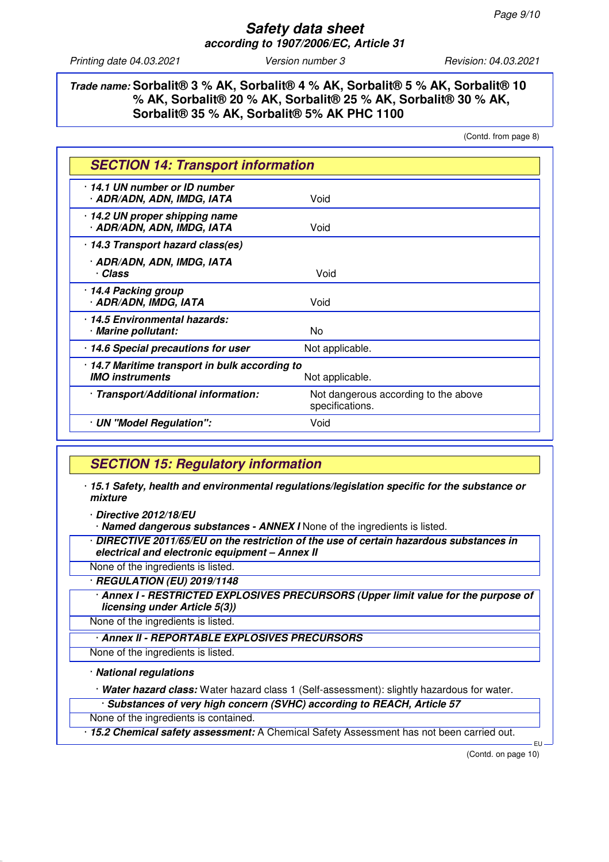### **Trade name: Sorbalit® 3 % AK, Sorbalit® 4 % AK, Sorbalit® 5 % AK, Sorbalit® 10 % AK, Sorbalit® 20 % AK, Sorbalit® 25 % AK, Sorbalit® 30 % AK, Sorbalit® 35 % AK, Sorbalit® 5% AK PHC 1100**

(Contd. from page 8)

| <b>SECTION 14: Transport information</b>                                                    |                                                         |  |
|---------------------------------------------------------------------------------------------|---------------------------------------------------------|--|
| 14.1 UN number or ID number<br>· ADR/ADN, ADN, IMDG, IATA                                   | Void                                                    |  |
| 14.2 UN proper shipping name<br>· ADR/ADN, ADN, IMDG, IATA                                  | Void                                                    |  |
| 14.3 Transport hazard class(es)                                                             |                                                         |  |
| · ADR/ADN, ADN, IMDG, IATA<br>· Class                                                       | Void                                                    |  |
| · 14.4 Packing group<br>· ADR/ADN, IMDG, IATA                                               | Void                                                    |  |
| 14.5 Environmental hazards:<br>· Marine pollutant:                                          | N <sub>0</sub>                                          |  |
| 14.6 Special precautions for user                                                           | Not applicable.                                         |  |
| · 14.7 Maritime transport in bulk according to<br><b>IMO instruments</b><br>Not applicable. |                                                         |  |
| · Transport/Additional information:                                                         | Not dangerous according to the above<br>specifications. |  |
| · UN "Model Regulation":                                                                    | Void                                                    |  |

## **SECTION 15: Regulatory information**

· **15.1 Safety, health and environmental regulations/legislation specific for the substance or mixture**

· **Directive 2012/18/EU**

· **Named dangerous substances - ANNEX I** None of the ingredients is listed.

· **DIRECTIVE 2011/65/EU on the restriction of the use of certain hazardous substances in electrical and electronic equipment – Annex II**

None of the ingredients is listed.

· **REGULATION (EU) 2019/1148**

· **Annex I - RESTRICTED EXPLOSIVES PRECURSORS (Upper limit value for the purpose of licensing under Article 5(3))**

None of the ingredients is listed.

· **Annex II - REPORTABLE EXPLOSIVES PRECURSORS**

None of the ingredients is listed.

#### · **National regulations**

· **Water hazard class:** Water hazard class 1 (Self-assessment): slightly hazardous for water.

· **Substances of very high concern (SVHC) according to REACH, Article 57**

None of the ingredients is contained.

· **15.2 Chemical safety assessment:** A Chemical Safety Assessment has not been carried out.

(Contd. on page 10)